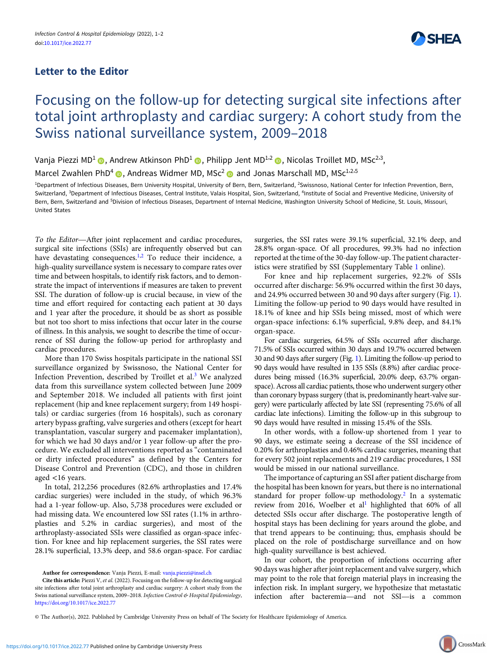## Letter to the Editor



## Focusing on the follow-up for detecting surgical site infections after total joint arthroplasty and cardiac surgery: A cohort study from the Swiss national surveillance system, 2009–2018

Vanja Piezzi MD<sup>1</sup> ( ), Andrew Atkinson PhD<sup>1</sup> ( ), Philipp Jent MD<sup>1,2</sup> ( ), Nicolas Troillet MD, MSc<sup>2,3</sup>,

Marcel Zwahlen PhD<sup>4</sup>  $\bullet$ , Andreas Widmer MD, MSc<sup>2</sup>  $\bullet$  and Jonas Marschall MD, MSc<sup>1,2,5</sup>

<sup>1</sup>Department of Infectious Diseases, Bern University Hospital, University of Bern, Bern, Switzerland, <sup>2</sup>Swissnoso, National Center for Infection Prevention, Bern, Switzerland, <sup>3</sup>Department of Infectious Diseases, Central Institute, Valais Hospital, Sion, Switzerland, <sup>4</sup>Institute of Social and Preventive Medicine, University of Bern, Bern, Switzerland and <sup>5</sup>Division of Infectious Diseases, Department of Internal Medicine, Washington University School of Medicine, St. Louis, Missouri, United States

To the Editor—After joint replacement and cardiac procedures, surgical site infections (SSIs) are infrequently observed but can have devastating consequences. $1,2$  $1,2$  $1,2$  To reduce their incidence, a high-quality surveillance system is necessary to compare rates over time and between hospitals, to identify risk factors, and to demonstrate the impact of interventions if measures are taken to prevent SSI. The duration of follow-up is crucial because, in view of the time and effort required for contacting each patient at 30 days and 1 year after the procedure, it should be as short as possible but not too short to miss infections that occur later in the course of illness. In this analysis, we sought to describe the time of occurrence of SSI during the follow-up period for arthroplasty and cardiac procedures.

More than 170 Swiss hospitals participate in the national SSI surveillance organized by Swissnoso, the National Center for Infection Prevention, described by Troillet et al.<sup>[3](#page-1-0)</sup> We analyzed data from this surveillance system collected between June 2009 and September 2018. We included all patients with first joint replacement (hip and knee replacement surgery; from 149 hospitals) or cardiac surgeries (from 16 hospitals), such as coronary artery bypass grafting, valve surgeries and others (except for heart transplantation, vascular surgery and pacemaker implantation), for which we had 30 days and/or 1 year follow-up after the procedure. We excluded all interventions reported as "contaminated or dirty infected procedures" as defined by the Centers for Disease Control and Prevention (CDC), and those in children aged <16 years.

In total, 212,256 procedures (82.6% arthroplasties and 17.4% cardiac surgeries) were included in the study, of which 96.3% had a 1-year follow-up. Also, 5,738 procedures were excluded or had missing data. We encountered low SSI rates (1.1% in arthroplasties and 5.2% in cardiac surgeries), and most of the arthroplasty-associated SSIs were classified as organ-space infection. For knee and hip replacement surgeries, the SSI rates were 28.1% superficial, 13.3% deep, and 58.6 organ-space. For cardiac

Author for correspondence: Vanja Piezzi, E-mail: [vanja.piezzi@insel.ch](mailto:vanja.piezzi@insel.ch)

Cite this article: Piezzi V, et al. (2022). Focusing on the follow-up for detecting surgical site infections after total joint arthroplasty and cardiac surgery: A cohort study from the Swiss national surveillance system, 2009-2018. Infection Control & Hospital Epidemiology, <https://doi.org/10.1017/ice.2022.77>

surgeries, the SSI rates were 39.1% superficial, 32.1% deep, and 28.8% organ-space. Of all procedures, 99.3% had no infection reported at the time of the 30-day follow-up. The patient characteristics were stratified by SSI (Supplementary Table [1](https://doi.org/10.1017/ice.2022.77) online).

For knee and hip replacement surgeries, 92.2% of SSIs occurred after discharge: 56.9% occurred within the first 30 days, and 24.9% occurred between 30 and 90 days after surgery (Fig. [1\)](#page-1-0). Limiting the follow-up period to 90 days would have resulted in 18.1% of knee and hip SSIs being missed, most of which were organ-space infections: 6.1% superficial, 9.8% deep, and 84.1% organ-space.

For cardiac surgeries, 64.5% of SSIs occurred after discharge. 71.5% of SSIs occurred within 30 days and 19.7% occurred between 30 and 90 days after surgery (Fig. [1](#page-1-0)). Limiting the follow-up period to 90 days would have resulted in 135 SSIs (8.8%) after cardiac procedures being missed (16.3% superficial, 20.0% deep, 63.7% organspace). Across all cardiac patients, those who underwent surgery other than coronary bypass surgery (that is, predominantly heart-valve surgery) were particularly affected by late SSI (representing 75.6% of all cardiac late infections). Limiting the follow-up in this subgroup to 90 days would have resulted in missing 15.4% of the SSIs.

In other words, with a follow-up shortened from 1 year to 90 days, we estimate seeing a decrease of the SSI incidence of 0.20% for arthroplasties and 0.46% cardiac surgeries, meaning that for every 502 joint replacements and 219 cardiac procedures, 1 SSI would be missed in our national surveillance.

The importance of capturing an SSI after patient discharge from the hospital has been known for years, but there is no international standard for proper follow-up methodology.[2](#page-1-0) In a systematic review from 2016, Woelber et al<sup>1</sup> highlighted that 60% of all detected SSIs occur after discharge. The postoperative length of hospital stays has been declining for years around the globe, and that trend appears to be continuing; thus, emphasis should be placed on the role of postdischarge surveillance and on how high-quality surveillance is best achieved.

In our cohort, the proportion of infections occurring after 90 days was higher after joint replacement and valve surgery, which may point to the role that foreign material plays in increasing the infection risk. In implant surgery, we hypothesize that metastatic in our conort, the proportion of infections occurring after<br>90 days was higher after joint replacement and valve surgery, which<br>may point to the role that foreign material plays in increasing the<br>infection risk. In implant

© The Author(s), 2022. Published by Cambridge University Press on behalf of The Society for Healthcare Epidemiology of America.